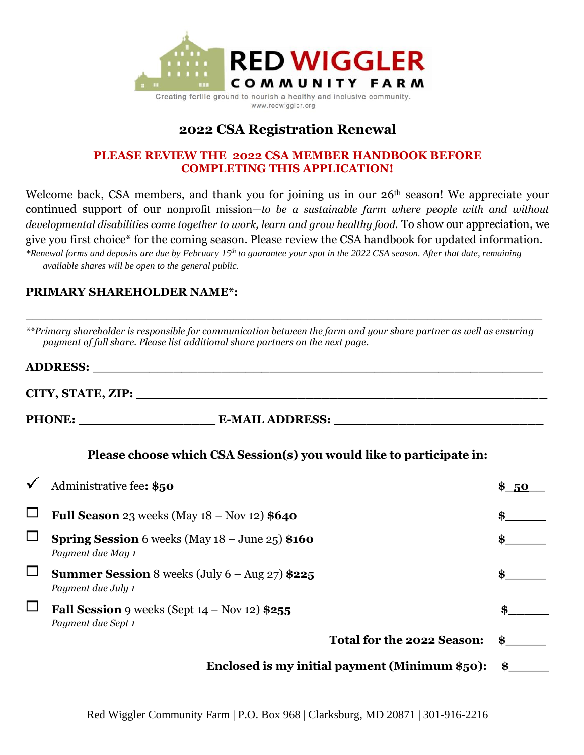

www.redwiggler.org

# **2022 CSA Registration Renewal**

#### **PLEASE REVIEW THE 2022 CSA MEMBER HANDBOOK BEFORE COMPLETING THIS APPLICATION!**

Welcome back, CSA members, and thank you for joining us in our 26<sup>th</sup> season! We appreciate your continued support of our nonprofit mission—*to be a sustainable farm where people with and without developmental disabilities come together to work, learn and grow healthy food.* To show our appreciation, we give you first choice\* for the coming season. Please review the CSA handbook for updated information. *\*Renewal forms and deposits are due by February 15 th to guarantee your spot in the 2022 CSA season. After that date, remaining available shares will be open to the general public.*

## **PRIMARY SHAREHOLDER NAME\*:**

|          | **Primary shareholder is responsible for communication between the farm and your share partner as well as ensuring<br>payment of full share. Please list additional share partners on the next page. |           |
|----------|------------------------------------------------------------------------------------------------------------------------------------------------------------------------------------------------------|-----------|
|          |                                                                                                                                                                                                      |           |
|          | CITY, STATE, ZIP: North Case of the City of State City of the City of the City of Taylor City of the City of T                                                                                       |           |
|          |                                                                                                                                                                                                      |           |
|          | Please choose which CSA Session(s) you would like to participate in:                                                                                                                                 |           |
|          | Administrative fee: \$50                                                                                                                                                                             | \$ 50     |
|          | Full Season 23 weeks (May $18 -$ Nov $12)$ \$640                                                                                                                                                     | \$        |
|          | <b>Spring Session</b> 6 weeks (May $18 -$ June $25$ ) \$160<br>Payment due May 1                                                                                                                     | \$        |
| $\sqcup$ | <b>Summer Session</b> 8 weeks (July $6 - \text{Aug } 27$ ) \$225<br>Payment due July 1                                                                                                               | \$        |
|          | Fall Session 9 weeks (Sept $14 - Nov 12$ ) \$255<br>Payment due Sept 1                                                                                                                               | \$        |
|          | Total for the 2022 Season:                                                                                                                                                                           | $\bullet$ |
|          | Enclosed is my initial payment (Minimum \$50):                                                                                                                                                       | \$        |